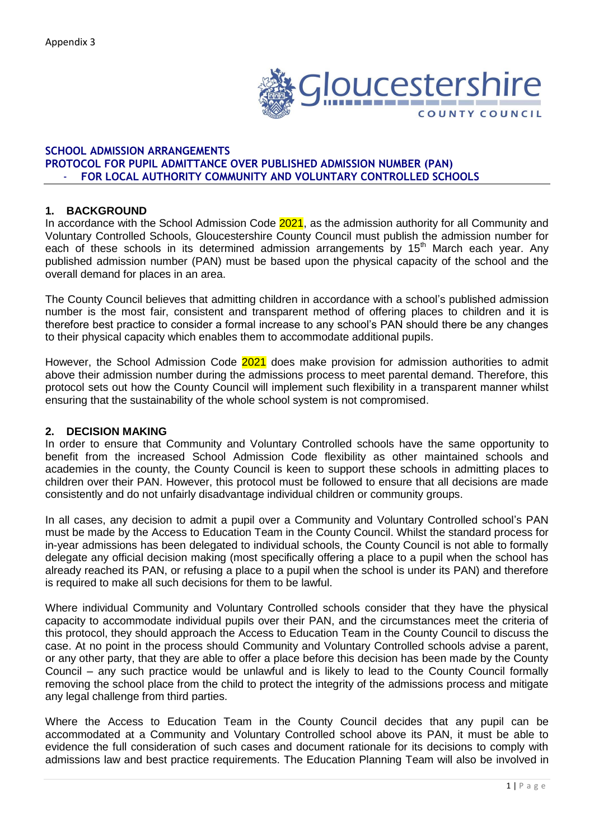

### **SCHOOL ADMISSION ARRANGEMENTS PROTOCOL FOR PUPIL ADMITTANCE OVER PUBLISHED ADMISSION NUMBER (PAN)** - **FOR LOCAL AUTHORITY COMMUNITY AND VOLUNTARY CONTROLLED SCHOOLS**

## **1. BACKGROUND**

In accordance with the School Admission Code 2021, as the admission authority for all Community and Voluntary Controlled Schools, Gloucestershire County Council must publish the admission number for each of these schools in its determined admission arrangements by 15<sup>th</sup> March each year. Any published admission number (PAN) must be based upon the physical capacity of the school and the overall demand for places in an area.

The County Council believes that admitting children in accordance with a school's published admission number is the most fair, consistent and transparent method of offering places to children and it is therefore best practice to consider a formal increase to any school's PAN should there be any changes to their physical capacity which enables them to accommodate additional pupils.

However, the School Admission Code 2021 does make provision for admission authorities to admit above their admission number during the admissions process to meet parental demand. Therefore, this protocol sets out how the County Council will implement such flexibility in a transparent manner whilst ensuring that the sustainability of the whole school system is not compromised.

#### **2. DECISION MAKING**

In order to ensure that Community and Voluntary Controlled schools have the same opportunity to benefit from the increased School Admission Code flexibility as other maintained schools and academies in the county, the County Council is keen to support these schools in admitting places to children over their PAN. However, this protocol must be followed to ensure that all decisions are made consistently and do not unfairly disadvantage individual children or community groups.

In all cases, any decision to admit a pupil over a Community and Voluntary Controlled school's PAN must be made by the Access to Education Team in the County Council. Whilst the standard process for in-year admissions has been delegated to individual schools, the County Council is not able to formally delegate any official decision making (most specifically offering a place to a pupil when the school has already reached its PAN, or refusing a place to a pupil when the school is under its PAN) and therefore is required to make all such decisions for them to be lawful.

Where individual Community and Voluntary Controlled schools consider that they have the physical capacity to accommodate individual pupils over their PAN, and the circumstances meet the criteria of this protocol, they should approach the Access to Education Team in the County Council to discuss the case. At no point in the process should Community and Voluntary Controlled schools advise a parent, or any other party, that they are able to offer a place before this decision has been made by the County Council – any such practice would be unlawful and is likely to lead to the County Council formally removing the school place from the child to protect the integrity of the admissions process and mitigate any legal challenge from third parties.

Where the Access to Education Team in the County Council decides that any pupil can be accommodated at a Community and Voluntary Controlled school above its PAN, it must be able to evidence the full consideration of such cases and document rationale for its decisions to comply with admissions law and best practice requirements. The Education Planning Team will also be involved in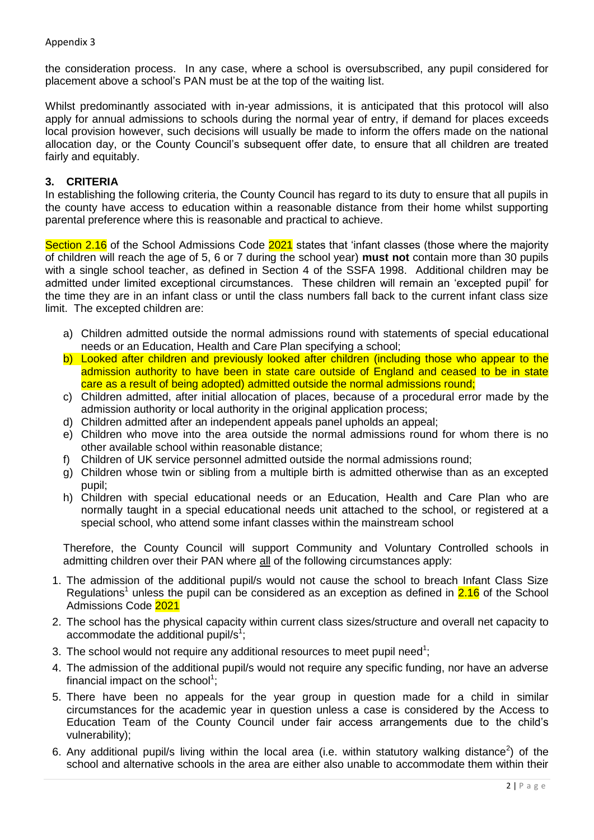### Appendix 3

the consideration process. In any case, where a school is oversubscribed, any pupil considered for placement above a school's PAN must be at the top of the waiting list.

Whilst predominantly associated with in-year admissions, it is anticipated that this protocol will also apply for annual admissions to schools during the normal year of entry, if demand for places exceeds local provision however, such decisions will usually be made to inform the offers made on the national allocation day, or the County Council's subsequent offer date, to ensure that all children are treated fairly and equitably.

## **3. CRITERIA**

In establishing the following criteria, the County Council has regard to its duty to ensure that all pupils in the county have access to education within a reasonable distance from their home whilst supporting parental preference where this is reasonable and practical to achieve.

Section 2.16 of the School Admissions Code 2021 states that 'infant classes (those where the majority of children will reach the age of 5, 6 or 7 during the school year) **must not** contain more than 30 pupils with a single school teacher, as defined in Section 4 of the SSFA 1998. Additional children may be admitted under limited exceptional circumstances. These children will remain an 'excepted pupil' for the time they are in an infant class or until the class numbers fall back to the current infant class size limit. The excepted children are:

- a) Children admitted outside the normal admissions round with statements of special educational needs or an Education, Health and Care Plan specifying a school;
- b) Looked after children and previously looked after children (including those who appear to the admission authority to have been in state care outside of England and ceased to be in state care as a result of being adopted) admitted outside the normal admissions round;
- c) Children admitted, after initial allocation of places, because of a procedural error made by the admission authority or local authority in the original application process;
- d) Children admitted after an independent appeals panel upholds an appeal;
- e) Children who move into the area outside the normal admissions round for whom there is no other available school within reasonable distance;
- f) Children of UK service personnel admitted outside the normal admissions round;
- g) Children whose twin or sibling from a multiple birth is admitted otherwise than as an excepted pupil;
- h) Children with special educational needs or an Education, Health and Care Plan who are normally taught in a special educational needs unit attached to the school, or registered at a special school, who attend some infant classes within the mainstream school

Therefore, the County Council will support Community and Voluntary Controlled schools in admitting children over their PAN where all of the following circumstances apply:

- 1. The admission of the additional pupil/s would not cause the school to breach Infant Class Size Regulations<sup>1</sup> unless the pupil can be considered as an exception as defined in  $2.16$  of the School Admissions Code 2021
- 2. The school has the physical capacity within current class sizes/structure and overall net capacity to accommodate the additional pupil/s<sup>1</sup>;
- 3. The school would not require any additional resources to meet pupil need<sup>1</sup>;
- 4. The admission of the additional pupil/s would not require any specific funding, nor have an adverse financial impact on the school<sup>1</sup>;
- 5. There have been no appeals for the year group in question made for a child in similar circumstances for the academic year in question unless a case is considered by the Access to Education Team of the County Council under fair access arrangements due to the child's vulnerability);
- 6. Any additional pupil/s living within the local area (i.e. within statutory walking distance<sup>2</sup>) of the school and alternative schools in the area are either also unable to accommodate them within their